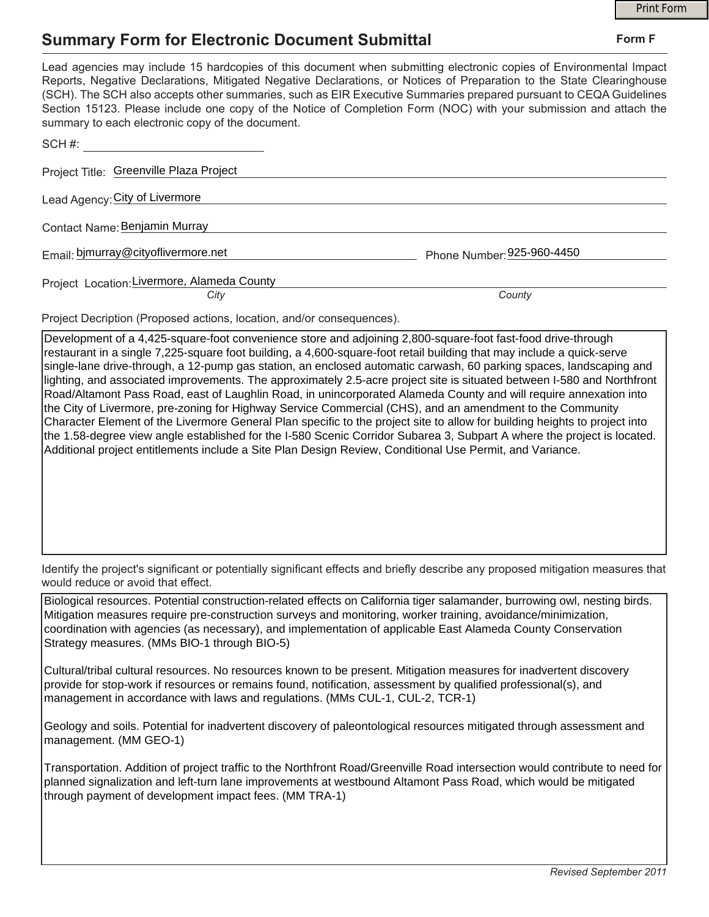## **Summary Form for Electronic Document Submittal**

|                                                                                                                                                                                                                                                                                                                                                                                                                                                                                                                                           |                            | <b>Print Form</b> |
|-------------------------------------------------------------------------------------------------------------------------------------------------------------------------------------------------------------------------------------------------------------------------------------------------------------------------------------------------------------------------------------------------------------------------------------------------------------------------------------------------------------------------------------------|----------------------------|-------------------|
| <b>Summary Form for Electronic Document Submittal</b>                                                                                                                                                                                                                                                                                                                                                                                                                                                                                     |                            | Form F            |
| Lead agencies may include 15 hardcopies of this document when submitting electronic copies of Environmental Impact<br>Reports, Negative Declarations, Mitigated Negative Declarations, or Notices of Preparation to the State Clearinghouse<br>(SCH). The SCH also accepts other summaries, such as EIR Executive Summaries prepared pursuant to CEQA Guidelines<br>Section 15123. Please include one copy of the Notice of Completion Form (NOC) with your submission and attach the<br>summary to each electronic copy of the document. |                            |                   |
|                                                                                                                                                                                                                                                                                                                                                                                                                                                                                                                                           |                            |                   |
| Project Title: Greenville Plaza Project                                                                                                                                                                                                                                                                                                                                                                                                                                                                                                   |                            |                   |
| Lead Agency: City of Livermore                                                                                                                                                                                                                                                                                                                                                                                                                                                                                                            |                            |                   |
| Contact Name: Benjamin Murray                                                                                                                                                                                                                                                                                                                                                                                                                                                                                                             |                            |                   |
| Email: bjmurray@cityoflivermore.net                                                                                                                                                                                                                                                                                                                                                                                                                                                                                                       | Phone Number: 925-960-4450 |                   |
| Project Location: Livermore, Alameda County<br>City                                                                                                                                                                                                                                                                                                                                                                                                                                                                                       | County                     |                   |

Project Decription (Proposed actions, location, and/or consequences).

Development of a 4,425-square-foot convenience store and adjoining 2,800-square-foot fast-food drive-through restaurant in a single 7,225-square foot building, a 4,600-square-foot retail building that may include a quick-serve single-lane drive-through, a 12-pump gas station, an enclosed automatic carwash, 60 parking spaces, landscaping and lighting, and associated improvements. The approximately 2.5-acre project site is situated between I-580 and Northfront Road/Altamont Pass Road, east of Laughlin Road, in unincorporated Alameda County and will require annexation into the City of Livermore, pre-zoning for Highway Service Commercial (CHS), and an amendment to the Community Character Element of the Livermore General Plan specific to the project site to allow for building heights to project into the 1.58-degree view angle established for the I-580 Scenic Corridor Subarea 3, Subpart A where the project is located. Additional project entitlements include a Site Plan Design Review, Conditional Use Permit, and Variance.

Identify the project's significant or potentially significant effects and briefly describe any proposed mitigation measures that would reduce or avoid that effect.

Biological resources. Potential construction-related effects on California tiger salamander, burrowing owl, nesting birds. Mitigation measures require pre-construction surveys and monitoring, worker training, avoidance/minimization, coordination with agencies (as necessary), and implementation of applicable East Alameda County Conservation Strategy measures. (MMs BIO-1 through BIO-5)

Cultural/tribal cultural resources. No resources known to be present. Mitigation measures for inadvertent discovery provide for stop-work if resources or remains found, notification, assessment by qualified professional(s), and management in accordance with laws and regulations. (MMs CUL-1, CUL-2, TCR-1)

Geology and soils. Potential for inadvertent discovery of paleontological resources mitigated through assessment and management. (MM GEO-1)

Transportation. Addition of project traffic to the Northfront Road/Greenville Road intersection would contribute to need for planned signalization and left-turn lane improvements at westbound Altamont Pass Road, which would be mitigated through payment of development impact fees. (MM TRA-1)